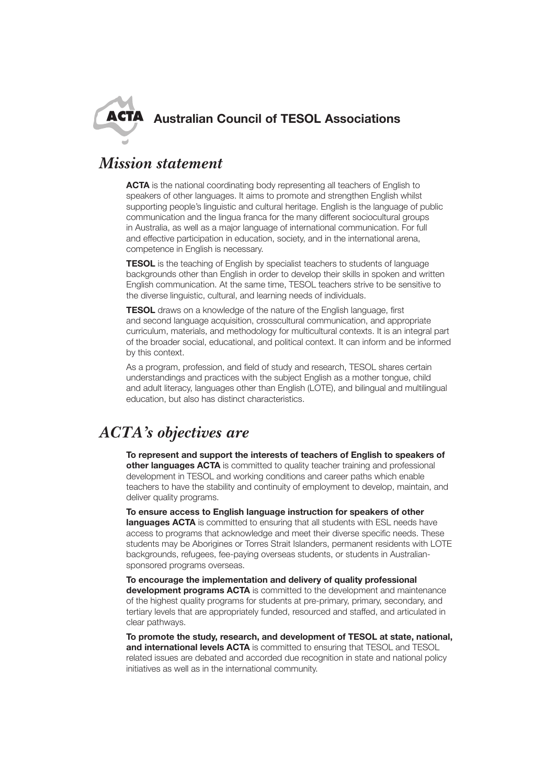

## *Mission statement*

**ACTA** is the national coordinating body representing all teachers of English to speakers of other languages. It aims to promote and strengthen English whilst supporting people's linguistic and cultural heritage. English is the language of public communication and the lingua franca for the many different sociocultural groups in Australia, as well as a major language of international communication. For full and effective participation in education, society, and in the international arena, competence in English is necessary.

**TESOL** is the teaching of English by specialist teachers to students of language backgrounds other than English in order to develop their skills in spoken and written English communication. At the same time, TESOL teachers strive to be sensitive to the diverse linguistic, cultural, and learning needs of individuals.

**TESOL** draws on a knowledge of the nature of the English language, first and second language acquisition, crosscultural communication, and appropriate curriculum, materials, and methodology for multicultural contexts. It is an integral part of the broader social, educational, and political context. It can inform and be informed by this context.

As a program, profession, and field of study and research, TESOL shares certain understandings and practices with the subject English as a mother tongue, child and adult literacy, languages other than English (LOTE), and bilingual and multilingual education, but also has distinct characteristics.

## *ACTA's objectives are*

**To represent and support the interests of teachers of English to speakers of other languages ACTA** is committed to quality teacher training and professional development in TESOL and working conditions and career paths which enable teachers to have the stability and continuity of employment to develop, maintain, and deliver quality programs.

**To ensure access to English language instruction for speakers of other languages ACTA** is committed to ensuring that all students with ESL needs have access to programs that acknowledge and meet their diverse specific needs. These students may be Aborigines or Torres Strait Islanders, permanent residents with LOTE backgrounds, refugees, fee-paying overseas students, or students in Australiansponsored programs overseas.

**To encourage the implementation and delivery of quality professional development programs ACTA** is committed to the development and maintenance of the highest quality programs for students at pre-primary, primary, secondary, and tertiary levels that are appropriately funded, resourced and staffed, and articulated in clear pathways.

**To promote the study, research, and development of TESOL at state, national, and international levels ACTA** is committed to ensuring that TESOL and TESOL related issues are debated and accorded due recognition in state and national policy initiatives as well as in the international community.